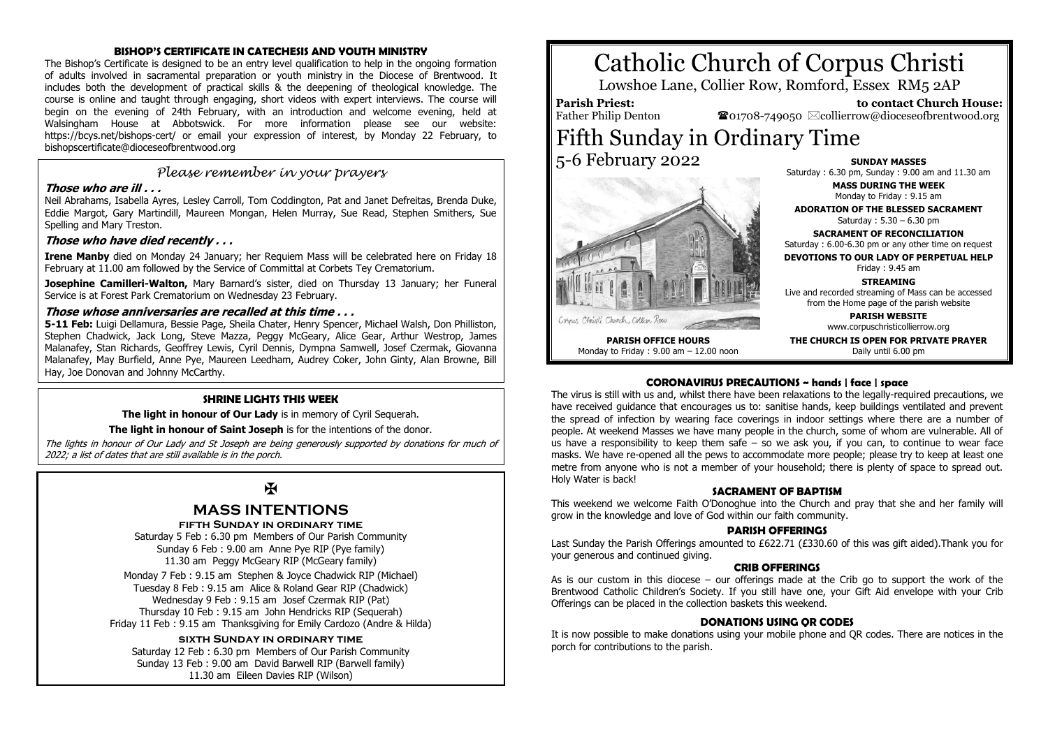#### **BISHOP'S CERTIFICATE IN CATECHESIS AND YOUTH MINISTRY**

The Bishop's Certificate is designed to be an entry level qualification to help in the ongoing formation of adults involved in sacramental preparation or youth ministry in the Diocese of Brentwood. It includes both the development of practical skills & the deepening of theological knowledge. The course is online and taught through engaging, short videos with expert interviews. The course will begin on the evening of 24th February, with an introduction and welcome evening, held at Walsingham House at Abbotswick. For more information please see our website: https://bcys.net/bishops-cert/ or email your expression of interest, by Monday 22 February, to bishopscertificate@dioceseofbrentwood.org

## *Please remember in your prayers*

#### **Those who are ill . . .**

Neil Abrahams, Isabella Ayres, Lesley Carroll, Tom Coddington, Pat and Janet Defreitas, Brenda Duke, Eddie Margot, Gary Martindill, Maureen Mongan, Helen Murray, Sue Read, Stephen Smithers, Sue Spelling and Mary Treston.

#### **Those who have died recently . . .**

**Irene Manby** died on Monday 24 January; her Requiem Mass will be celebrated here on Friday 18 February at 11.00 am followed by the Service of Committal at Corbets Tey Crematorium.

**Josephine Camilleri-Walton,** Mary Barnard's sister, died on Thursday 13 January; her Funeral Service is at Forest Park Crematorium on Wednesday 23 February.

#### **Those whose anniversaries are recalled at this time . . .**

**5-11 Feb:** Luigi Dellamura, Bessie Page, Sheila Chater, Henry Spencer, Michael Walsh, Don Philliston, Stephen Chadwick, Jack Long, Steve Mazza, Peggy McGeary, Alice Gear, Arthur Westrop, James Malanafey, Stan Richards, Geoffrey Lewis, Cyril Dennis, Dympna Samwell, Josef Czermak, Giovanna Malanafey, May Burfield, Anne Pye, Maureen Leedham, Audrey Coker, John Ginty, Alan Browne, Bill Hay, Joe Donovan and Johnny McCarthy.

#### **SHRINE LIGHTS THIS WEEK**

**The light in honour of Our Lady** is in memory of Cyril Sequerah.

#### **The light in honour of Saint Joseph** is for the intentions of the donor.

The lights in honour of Our Lady and St Joseph are being generously supported by donations for much of 2022; a list of dates that are still available is in the porch.

## Ж

### **MASS INTENTIONS**

**fifth Sunday in ordinary time**

Saturday 5 Feb : 6.30 pm Members of Our Parish Community Sunday 6 Feb : 9.00 am Anne Pye RIP (Pye family) 11.30 am Peggy McGeary RIP (McGeary family)

Monday 7 Feb : 9.15 am Stephen & Joyce Chadwick RIP (Michael) Tuesday 8 Feb : 9.15 am Alice & Roland Gear RIP (Chadwick) Wednesday 9 Feb : 9.15 am Josef Czermak RIP (Pat) Thursday 10 Feb : 9.15 am John Hendricks RIP (Sequerah) Friday 11 Feb : 9.15 am Thanksgiving for Emily Cardozo (Andre & Hilda)

#### **sixth Sunday in ordinary time**

Saturday 12 Feb : 6.30 pm Members of Our Parish Community Sunday 13 Feb : 9.00 am David Barwell RIP (Barwell family) 11.30 am Eileen Davies RIP (Wilson)

# Catholic Church of Corpus Christi

Lowshoe Lane, Collier Row, Romford, Essex RM5 2AP

#### **Parish Priest:**

 **to contact Church House: To**01708-749050  $\boxtimes$  collierrow@dioceseofbrentwood.org

## Father Philip Denton Fifth Sunday in Ordinary Time 5-6 February 2022



**SUNDAY MASSES** Saturday : 6.30 pm, Sunday : 9.00 am and 11.30 am

**MASS DURING THE WEEK** Monday to Friday : 9.15 am

**ADORATION OF THE BLESSED SACRAMENT** Saturday : 5.30 – 6.30 pm

**SACRAMENT OF RECONCILIATION** Saturday : 6.00-6.30 pm or any other time on request

**DEVOTIONS TO OUR LADY OF PERPETUAL HELP**

Friday : 9.45 am **STREAMING**

Live and recorded streaming of Mass can be accessed from the Home page of the parish website

> **PARISH WEBSITE** www.corpuschristicollierrow.org

**THE CHURCH IS OPEN FOR PRIVATE PRAYER** Daily until 6.00 pm

**PARISH OFFICE HOURS** Monday to Friday : 9.00 am – 12.00 noon

#### **CORONAVIRUS PRECAUTIONS ~ hands | face | space**

The virus is still with us and, whilst there have been relaxations to the legally-required precautions, we have received guidance that encourages us to: sanitise hands, keep buildings ventilated and prevent the spread of infection by wearing face coverings in indoor settings where there are a number of people. At weekend Masses we have many people in the church, some of whom are vulnerable. All of us have a responsibility to keep them safe  $-$  so we ask you, if you can, to continue to wear face masks. We have re-opened all the pews to accommodate more people; please try to keep at least one metre from anyone who is not a member of your household; there is plenty of space to spread out. Holy Water is back!

#### **SACRAMENT OF BAPTISM**

This weekend we welcome Faith O'Donoghue into the Church and pray that she and her family will grow in the knowledge and love of God within our faith community.

#### **PARISH OFFERINGS**

Last Sunday the Parish Offerings amounted to £622.71 (£330.60 of this was gift aided).Thank you for your generous and continued giving.

#### **CRIB OFFERINGS**

As is our custom in this diocese – our offerings made at the Crib go to support the work of the Brentwood Catholic Children's Society. If you still have one, your Gift Aid envelope with your Crib Offerings can be placed in the collection baskets this weekend.

#### **DONATIONS USING QR CODES**

It is now possible to make donations using your mobile phone and QR codes. There are notices in the porch for contributions to the parish.